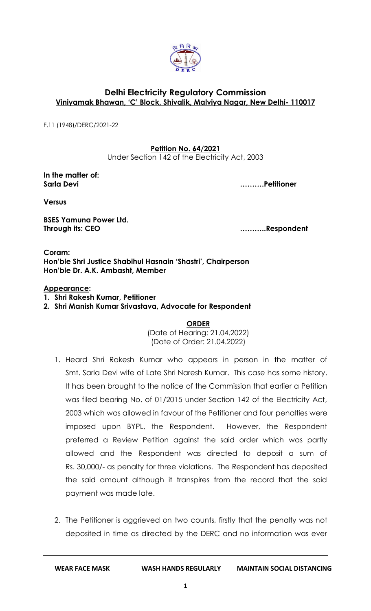

## **Delhi Electricity Regulatory Commission Viniyamak Bhawan, 'C' Block, Shivalik, Malviya Nagar, New Delhi- 110017**

[F.11 \(1948\)/DERC/202](http://192.168.1.151:8181/opa/servlet/inboxMainPage?filekey=1)1-22

**Petition No. 64/2021**

Under Section 142 of the Electricity Act, 2003

**In the matter of: Sarla Devi ……….Petitioner**

**Versus**

**BSES Yamuna Power Ltd. Through its: CEO ………..Respondent**

**Coram: Hon'ble Shri Justice Shabihul Hasnain 'Shastri', Chairperson Hon'ble Dr. A.K. Ambasht, Member**

## **Appearance:**

- **1. Shri Rakesh Kumar, Petitioner**
- **2. Shri Manish Kumar Srivastava, Advocate for Respondent**

**ORDER**

(Date of Hearing: 21.04.2022) (Date of Order: 21.04.2022)

- 1. Heard Shri Rakesh Kumar who appears in person in the matter of Smt. Sarla Devi wife of Late Shri Naresh Kumar. This case has some history. It has been brought to the notice of the Commission that earlier a Petition was filed bearing No. of 01/2015 under Section 142 of the Electricity Act, 2003 which was allowed in favour of the Petitioner and four penalties were imposed upon BYPL, the Respondent. However, the Respondent preferred a Review Petition against the said order which was partly allowed and the Respondent was directed to deposit a sum of Rs. 30,000/- as penalty for three violations. The Respondent has deposited the said amount although it transpires from the record that the said payment was made late.
- 2. The Petitioner is aggrieved on two counts, firstly that the penalty was not deposited in time as directed by the DERC and no information was ever